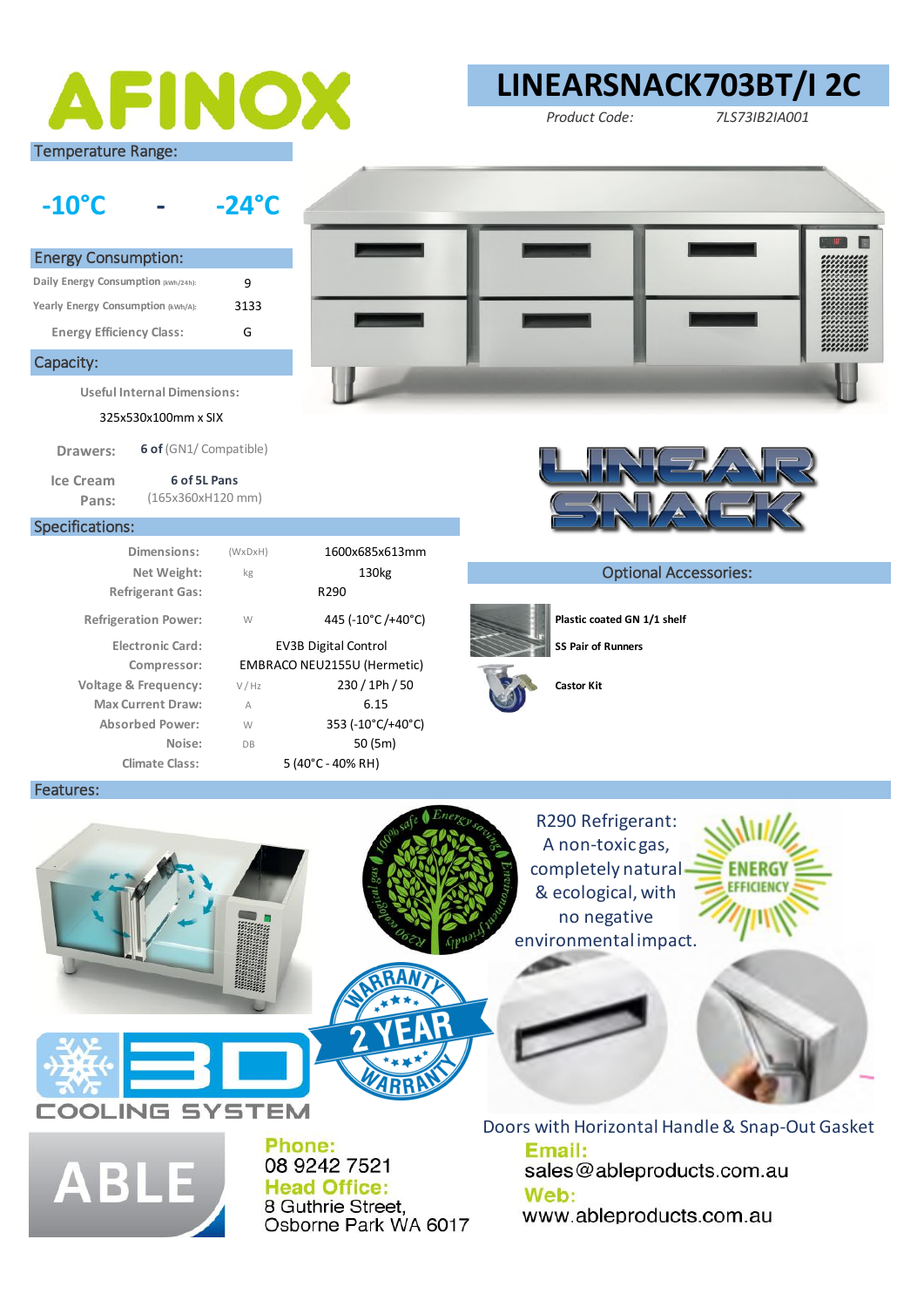

# **LINEARSNACK703BT/I 2C**

*Product Code: 7LS73IB2IA001*



**Useful Internal Dimensions:** 

325x530x100mm x SIX

**Drawers: 6 of** (GN1/ Compatible)

**Electronic Card:**

**Ice Cream Pans:** 

Specifications:

Capacity:

Energy Consumption: **Daily Energy Consumption (kWh/24h): Yearly Energy Consumption (kWh/A):** 

**Energy Efficiency Class:**

**6 of 5L Pans**  (165x360xH120 mm)

9 3133 G

(WxDxH) kg

**Dimensions:** 1600x685x613mm

**Compressor:** EMBRACO NEU2155U (Hermetic)

W

**Refrigerant Gas:** R290

V / Hz A W DB

**Climate Class:** 5 (40°C - 40% RH)

**Max Current Draw:** A 6.15 **Absorbed Power:** 353 (-10°C/+40°C) **Noise:** 50 (5m)



### **Net Weight:**  $\begin{matrix} \kappa_g \end{matrix}$  130kg **Optional Accessories:**



Refrigeration Power:  $W = 445 (-10^{\circ}C)/+40^{\circ}C)$  **Plastic coated GN 1/1 shelf** 



**EV3B Digital Control SS Pair of Runners** 

Features:





Phone: 08 9242 7521 **Head Office:** 8 Guthrie Street, Osborne Park WA 6017

Email: sales@ableproducts.com.au Web: www.ableproducts.com.au